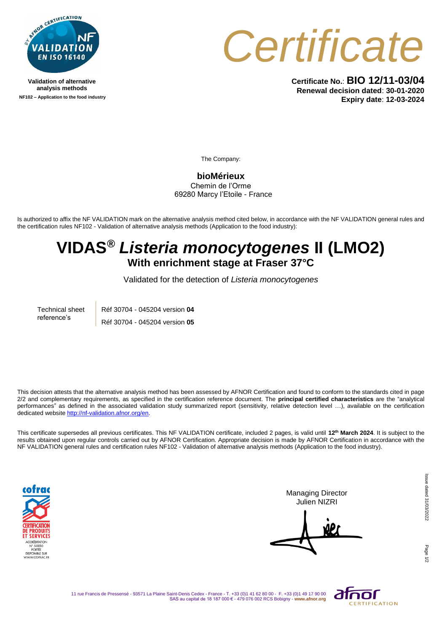

**Validation of alternative analysis methods NF102 – Application to the food industry**



**Certificate No.**: **BIO 12/11-03/04 Renewal decision dated**: **30-01-2020 Expiry date**: **12-03-2024**

The Company:

**bioMérieux** Chemin de l'Orme 69280 Marcy l'Etoile - France

Is authorized to affix the NF VALIDATION mark on the alternative analysis method cited below, in accordance with the NF VALIDATION general rules and the certification rules NF102 - Validation of alternative analysis methods (Application to the food industry):

## **VIDAS®** *Listeria monocytogenes* **II (LMO2) With enrichment stage at Fraser 37°C**

Validated for the detection of *Listeria monocytogenes*

Technical sheet reference's Réf 30704 - 045204 version **04** Réf 30704 - 045204 version **05**

This decision attests that the alternative analysis method has been assessed by AFNOR Certification and found to conform to the standards cited in page 2/2 and complementary requirements, as specified in the certification reference document. The **principal certified characteristics** are the "analytical performances" as defined in the associated validation study summarized report (sensitivity, relative detection level …), available on the certification dedicated websit[e http://nf-validation.afnor.org/en.](http://nf-validation.afnor.org/en)

This certificate supersedes all previous certificates. This NF VALIDATION certificate, included 2 pages, is valid until **12th March 2024**. It is subject to the results obtained upon regular controls carried out by AFNOR Certification. Appropriate decision is made by AFNOR Certification in accordance with the NF VALIDATION general rules and certification rules NF102 - Validation of alternative analysis methods (Application to the food industry).



Managing Director Julien NIZRI

Page